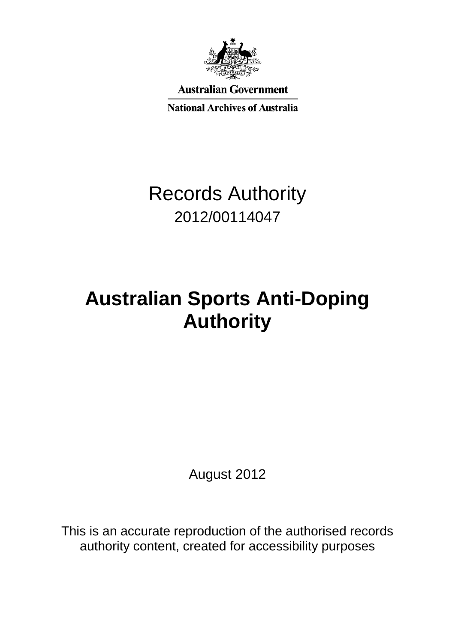

**Australian Government** 

**National Archives of Australia** 

# Records Authority 2012/00114047

# **Australian Sports Anti-Doping Authority**

August 2012

This is an accurate reproduction of the authorised records authority content, created for accessibility purposes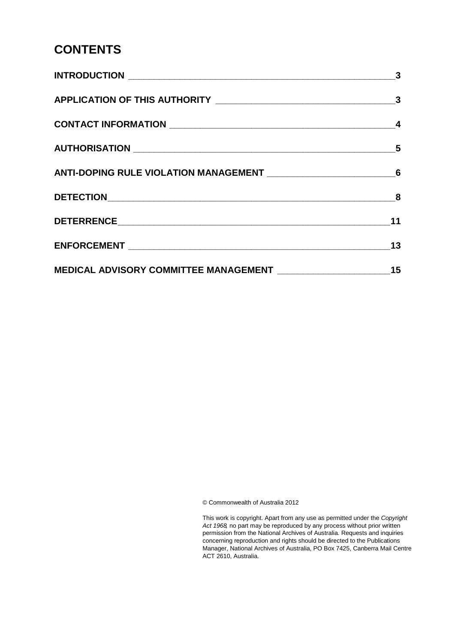#### **CONTENTS**

© Commonwealth of Australia 2012

This work is copyright. Apart from any use as permitted under the *Copyright Act 1968,* no part may be reproduced by any process without prior written permission from the National Archives of Australia. Requests and inquiries concerning reproduction and rights should be directed to the Publications Manager, National Archives of Australia, PO Box 7425, Canberra Mail Centre ACT 2610, Australia.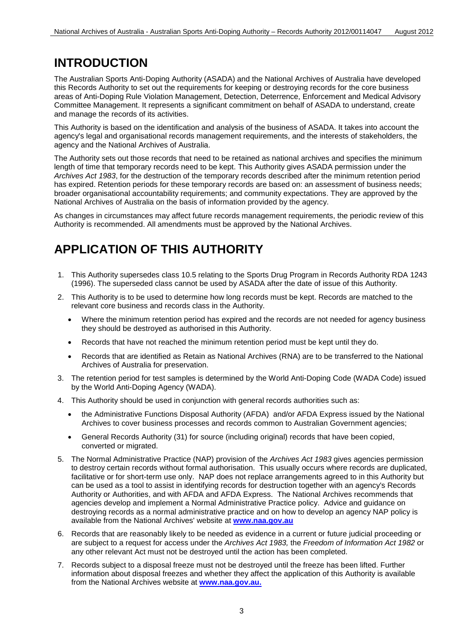#### **INTRODUCTION**

The Australian Sports Anti-Doping Authority (ASADA) and the National Archives of Australia have developed this Records Authority to set out the requirements for keeping or destroying records for the core business areas of Anti-Doping Rule Violation Management, Detection, Deterrence, Enforcement and Medical Advisory Committee Management. It represents a significant commitment on behalf of ASADA to understand, create and manage the records of its activities.

This Authority is based on the identification and analysis of the business of ASADA. It takes into account the agency's legal and organisational records management requirements, and the interests of stakeholders, the agency and the National Archives of Australia.

The Authority sets out those records that need to be retained as national archives and specifies the minimum length of time that temporary records need to be kept. This Authority gives ASADA permission under the *Archives Act 1983*, for the destruction of the temporary records described after the minimum retention period has expired. Retention periods for these temporary records are based on: an assessment of business needs; broader organisational accountability requirements; and community expectations. They are approved by the National Archives of Australia on the basis of information provided by the agency.

As changes in circumstances may affect future records management requirements, the periodic review of this Authority is recommended. All amendments must be approved by the National Archives.

#### **APPLICATION OF THIS AUTHORITY**

- 1. This Authority supersedes class 10.5 relating to the Sports Drug Program in Records Authority RDA 1243 (1996). The superseded class cannot be used by ASADA after the date of issue of this Authority.
- 2. This Authority is to be used to determine how long records must be kept. Records are matched to the relevant core business and records class in the Authority.
	- Where the minimum retention period has expired and the records are not needed for agency business they should be destroyed as authorised in this Authority.
	- Records that have not reached the minimum retention period must be kept until they do.
	- Records that are identified as Retain as National Archives (RNA) are to be transferred to the National Archives of Australia for preservation.
- 3. The retention period for test samples is determined by the World Anti-Doping Code (WADA Code) issued by the World Anti-Doping Agency (WADA).
- 4. This Authority should be used in conjunction with general records authorities such as:
	- the Administrative Functions Disposal Authority (AFDA) and/or AFDA Express issued by the National Archives to cover business processes and records common to Australian Government agencies;
	- General Records Authority (31) for source (including original) records that have been copied, converted or migrated.
- 5. The Normal Administrative Practice (NAP) provision of the *Archives Act 1983* gives agencies permission to destroy certain records without formal authorisation. This usually occurs where records are duplicated, facilitative or for short-term use only. NAP does not replace arrangements agreed to in this Authority but can be used as a tool to assist in identifying records for destruction together with an agency's Records Authority or Authorities, and with AFDA and AFDA Express. The National Archives recommends that agencies develop and implement a Normal Administrative Practice policy. Advice and guidance on destroying records as a normal administrative practice and on how to develop an agency NAP policy is available from the National Archives' website at **[www.naa.gov.au](http://www.naa.gov.au/)**
- 6. Records that are reasonably likely to be needed as evidence in a current or future judicial proceeding or are subject to a request for access under the *Archives Act 1983,* the *Freedom of Information Act 1982* or any other relevant Act must not be destroyed until the action has been completed.
- 7. Records subject to a disposal freeze must not be destroyed until the freeze has been lifted. Further information about disposal freezes and whether they affect the application of this Authority is available from the National Archives website at **[www.naa.gov.au.](http://www.naa.gov.au/)**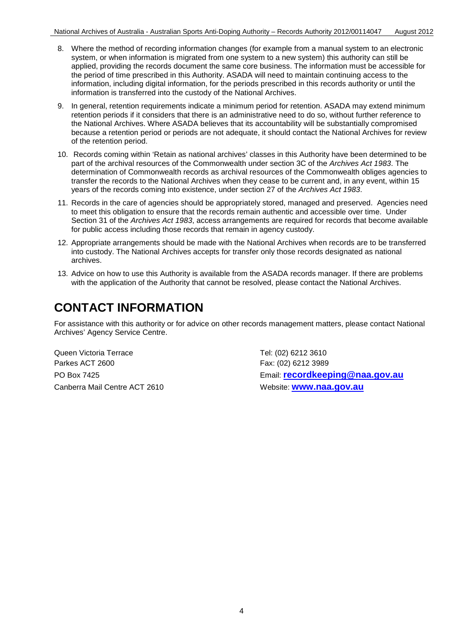- 8. Where the method of recording information changes (for example from a manual system to an electronic system, or when information is migrated from one system to a new system) this authority can still be applied, providing the records document the same core business. The information must be accessible for the period of time prescribed in this Authority. ASADA will need to maintain continuing access to the information, including digital information, for the periods prescribed in this records authority or until the information is transferred into the custody of the National Archives.
- 9. In general, retention requirements indicate a minimum period for retention. ASADA may extend minimum retention periods if it considers that there is an administrative need to do so, without further reference to the National Archives. Where ASADA believes that its accountability will be substantially compromised because a retention period or periods are not adequate, it should contact the National Archives for review of the retention period.
- 10. Records coming within 'Retain as national archives' classes in this Authority have been determined to be part of the archival resources of the Commonwealth under section 3C of the *Archives Act 1983*. The determination of Commonwealth records as archival resources of the Commonwealth obliges agencies to transfer the records to the National Archives when they cease to be current and, in any event, within 15 years of the records coming into existence, under section 27 of the *Archives Act 1983*.
- 11. Records in the care of agencies should be appropriately stored, managed and preserved. Agencies need to meet this obligation to ensure that the records remain authentic and accessible over time. Under Section 31 of the *Archives Act 1983*, access arrangements are required for records that become available for public access including those records that remain in agency custody.
- 12. Appropriate arrangements should be made with the National Archives when records are to be transferred into custody. The National Archives accepts for transfer only those records designated as national archives.
- 13. Advice on how to use this Authority is available from the ASADA records manager. If there are problems with the application of the Authority that cannot be resolved, please contact the National Archives.

## **CONTACT INFORMATION**

For assistance with this authority or for advice on other records management matters, please contact National Archives' Agency Service Centre.

Queen Victoria Terrace Tel: (02) 6212 3610 Parkes ACT 2600 Fax: (02) 6212 3989 Canberra Mail Centre ACT 2610 Website: **[www.naa.gov.au](http://www.naa.gov.au/)**

PO Box 7425 Email: **[recordkeeping@naa.gov.au](mailto:recordkeeping@naa.gov.au)**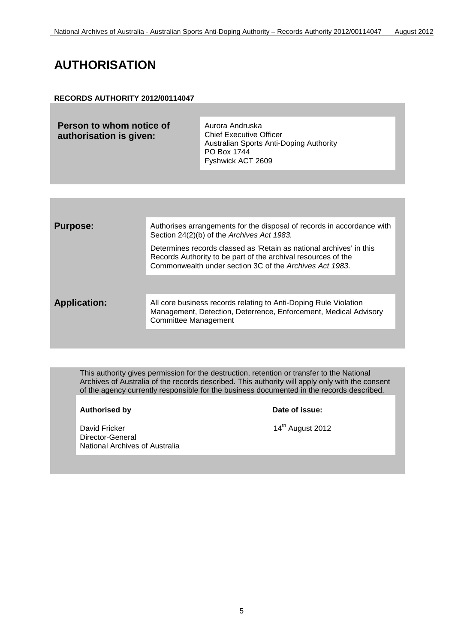## **AUTHORISATION**

#### **RECORDS AUTHORITY 2012/00114047**

| Person to whom notice of |
|--------------------------|
| authorisation is given:  |

Aurora Andruska Chief Executive Officer Australian Sports Anti-Doping Authority PO Box 1744 Fyshwick ACT 2609

| <b>Purpose:</b>     | Authorises arrangements for the disposal of records in accordance with<br>Section 24(2)(b) of the Archives Act 1983.                                                                            |
|---------------------|-------------------------------------------------------------------------------------------------------------------------------------------------------------------------------------------------|
|                     | Determines records classed as 'Retain as national archives' in this<br>Records Authority to be part of the archival resources of the<br>Commonwealth under section 3C of the Archives Act 1983. |
|                     |                                                                                                                                                                                                 |
| <b>Application:</b> | All core business records relating to Anti-Doping Rule Violation<br>Management, Detection, Deterrence, Enforcement, Medical Advisory<br><b>Committee Management</b>                             |
|                     |                                                                                                                                                                                                 |

This authority gives permission for the destruction, retention or transfer to the National Archives of Australia of the records described. This authority will apply only with the consent of the agency currently responsible for the business documented in the records described.

Authorised by **Date of issue:** 

David Fricker 2012 Director-General National Archives of Australia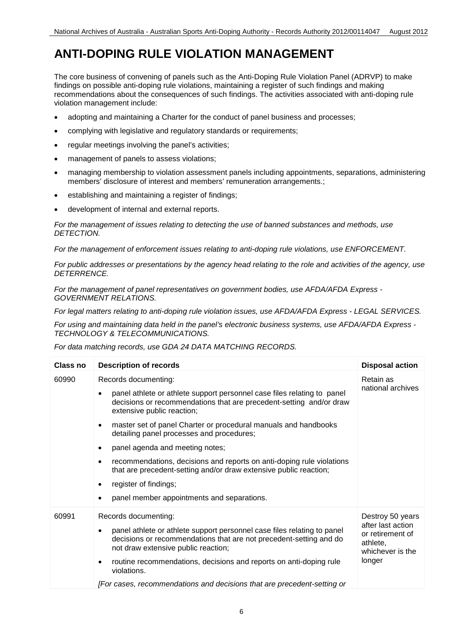#### **ANTI-DOPING RULE VIOLATION MANAGEMENT**

The core business of convening of panels such as the Anti-Doping Rule Violation Panel (ADRVP) to make findings on possible anti-doping rule violations, maintaining a register of such findings and making recommendations about the consequences of such findings. The activities associated with anti-doping rule violation management include:

- adopting and maintaining a Charter for the conduct of panel business and processes;
- complying with legislative and regulatory standards or requirements;
- regular meetings involving the panel's activities;
- management of panels to assess violations;
- managing membership to violation assessment panels including appointments, separations, administering members' disclosure of interest and members' remuneration arrangements.:
- establishing and maintaining a register of findings;
- development of internal and external reports.

*For the management of issues relating to detecting the use of banned substances and methods, use DETECTION.*

*For the management of enforcement issues relating to anti-doping rule violations, use ENFORCEMENT.*

*For public addresses or presentations by the agency head relating to the role and activities of the agency, use DETERRENCE.*

*For the management of panel representatives on government bodies, use AFDA/AFDA Express - GOVERNMENT RELATIONS.*

*For legal matters relating to anti-doping rule violation issues, use AFDA/AFDA Express - LEGAL SERVICES.*

*For using and maintaining data held in the panel's electronic business systems, use AFDA/AFDA Express - TECHNOLOGY & TELECOMMUNICATIONS.*

*For data matching records, use GDA 24 DATA MATCHING RECORDS.*

| <b>Class no</b> | <b>Description of records</b>                                                                                                                                                                                                                                                                                                                                                                                                                                                                                                                                                | <b>Disposal action</b>                                                                              |
|-----------------|------------------------------------------------------------------------------------------------------------------------------------------------------------------------------------------------------------------------------------------------------------------------------------------------------------------------------------------------------------------------------------------------------------------------------------------------------------------------------------------------------------------------------------------------------------------------------|-----------------------------------------------------------------------------------------------------|
| 60990           | Records documenting:<br>panel athlete or athlete support personnel case files relating to panel<br>decisions or recommendations that are precedent-setting and/or draw<br>extensive public reaction;<br>master set of panel Charter or procedural manuals and handbooks<br>detailing panel processes and procedures;<br>panel agenda and meeting notes;<br>recommendations, decisions and reports on anti-doping rule violations<br>that are precedent-setting and/or draw extensive public reaction;<br>register of findings;<br>panel member appointments and separations. | Retain as<br>national archives                                                                      |
| 60991           | Records documenting:<br>panel athlete or athlete support personnel case files relating to panel<br>decisions or recommendations that are not precedent-setting and do<br>not draw extensive public reaction;<br>routine recommendations, decisions and reports on anti-doping rule<br>violations.<br>[For cases, recommendations and decisions that are precedent-setting or                                                                                                                                                                                                 | Destroy 50 years<br>after last action<br>or retirement of<br>athlete,<br>whichever is the<br>longer |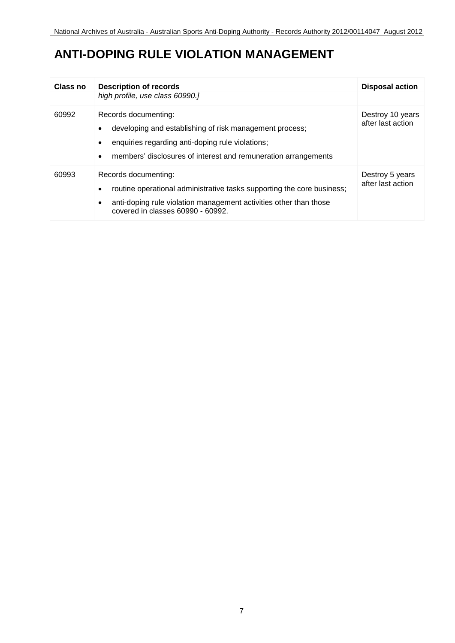## **ANTI-DOPING RULE VIOLATION MANAGEMENT**

| Class no | <b>Description of records</b>                                                                                                                                                                                              | <b>Disposal action</b>                |
|----------|----------------------------------------------------------------------------------------------------------------------------------------------------------------------------------------------------------------------------|---------------------------------------|
|          | high profile, use class 60990.]                                                                                                                                                                                            |                                       |
| 60992    | Records documenting:<br>developing and establishing of risk management process;<br>enquiries regarding anti-doping rule violations;<br>٠<br>members' disclosures of interest and remuneration arrangements<br>$\bullet$    | Destroy 10 years<br>after last action |
| 60993    | Records documenting:<br>routine operational administrative tasks supporting the core business;<br>$\bullet$<br>anti-doping rule violation management activities other than those<br>٠<br>covered in classes 60990 - 60992. | Destroy 5 years<br>after last action  |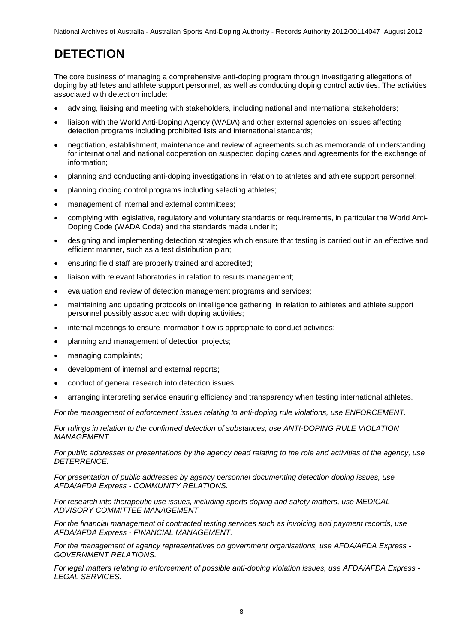# **DETECTION**

The core business of managing a comprehensive anti-doping program through investigating allegations of doping by athletes and athlete support personnel, as well as conducting doping control activities. The activities associated with detection include:

- advising, liaising and meeting with stakeholders, including national and international stakeholders;
- liaison with the World Anti-Doping Agency (WADA) and other external agencies on issues affecting detection programs including prohibited lists and international standards;
- negotiation, establishment, maintenance and review of agreements such as memoranda of understanding for international and national cooperation on suspected doping cases and agreements for the exchange of information;
- planning and conducting anti-doping investigations in relation to athletes and athlete support personnel;
- planning doping control programs including selecting athletes;
- management of internal and external committees;
- complying with legislative, regulatory and voluntary standards or requirements, in particular the World Anti-Doping Code (WADA Code) and the standards made under it;
- designing and implementing detection strategies which ensure that testing is carried out in an effective and efficient manner, such as a test distribution plan;
- ensuring field staff are properly trained and accredited;
- liaison with relevant laboratories in relation to results management;
- evaluation and review of detection management programs and services;
- maintaining and updating protocols on intelligence gathering in relation to athletes and athlete support personnel possibly associated with doping activities;
- internal meetings to ensure information flow is appropriate to conduct activities;
- planning and management of detection projects;
- managing complaints;
- development of internal and external reports;
- conduct of general research into detection issues;
- arranging interpreting service ensuring efficiency and transparency when testing international athletes.

*For the management of enforcement issues relating to anti-doping rule violations, use ENFORCEMENT.*

*For rulings in relation to the confirmed detection of substances, use ANTI-DOPING RULE VIOLATION MANAGEMENT.*

*For public addresses or presentations by the agency head relating to the role and activities of the agency, use DETERRENCE.*

*For presentation of public addresses by agency personnel documenting detection doping issues, use AFDA/AFDA Express - COMMUNITY RELATIONS.*

*For research into therapeutic use issues, including sports doping and safety matters, use MEDICAL ADVISORY COMMITTEE MANAGEMENT.*

*For the financial management of contracted testing services such as invoicing and payment records, use AFDA/AFDA Express - FINANCIAL MANAGEMENT.*

*For the management of agency representatives on government organisations, use AFDA/AFDA Express - GOVERNMENT RELATIONS.*

*For legal matters relating to enforcement of possible anti-doping violation issues, use AFDA/AFDA Express - LEGAL SERVICES.*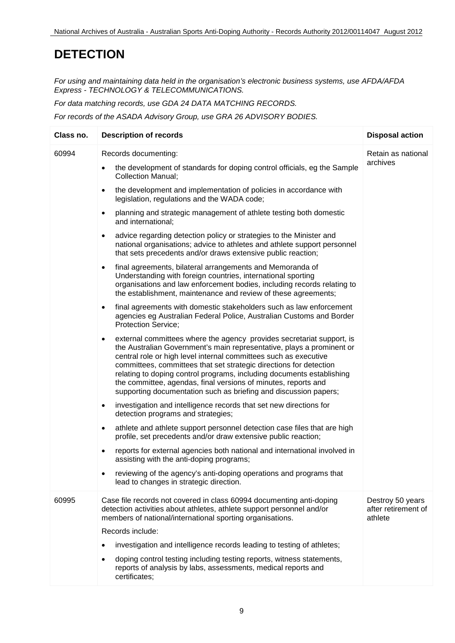# **DETECTION**

*For using and maintaining data held in the organisation's electronic business systems, use AFDA/AFDA Express - TECHNOLOGY & TELECOMMUNICATIONS.*

*For data matching records, use GDA 24 DATA MATCHING RECORDS.*

*For records of the ASADA Advisory Group, use GRA 26 ADVISORY BODIES.*

| Class no. | <b>Description of records</b>                                                                                                                                                                                                                                                                                                                                                                                                                                                                                                                                                                                                                                                                                                                                                                                                                                                                                                                                                                                                                                                                                                                                                                                                                                                                                                                                                                                                                                                                                                                                                                                                                                                                                                                                                                                                                                                                                                                                                                                                                                                                                          | <b>Disposal action</b>                             |
|-----------|------------------------------------------------------------------------------------------------------------------------------------------------------------------------------------------------------------------------------------------------------------------------------------------------------------------------------------------------------------------------------------------------------------------------------------------------------------------------------------------------------------------------------------------------------------------------------------------------------------------------------------------------------------------------------------------------------------------------------------------------------------------------------------------------------------------------------------------------------------------------------------------------------------------------------------------------------------------------------------------------------------------------------------------------------------------------------------------------------------------------------------------------------------------------------------------------------------------------------------------------------------------------------------------------------------------------------------------------------------------------------------------------------------------------------------------------------------------------------------------------------------------------------------------------------------------------------------------------------------------------------------------------------------------------------------------------------------------------------------------------------------------------------------------------------------------------------------------------------------------------------------------------------------------------------------------------------------------------------------------------------------------------------------------------------------------------------------------------------------------------|----------------------------------------------------|
| 60994     | Records documenting:<br>the development of standards for doping control officials, eg the Sample<br>$\bullet$<br><b>Collection Manual;</b><br>the development and implementation of policies in accordance with<br>$\bullet$<br>legislation, regulations and the WADA code;<br>planning and strategic management of athlete testing both domestic<br>$\bullet$<br>and international;<br>advice regarding detection policy or strategies to the Minister and<br>$\bullet$<br>national organisations; advice to athletes and athlete support personnel<br>that sets precedents and/or draws extensive public reaction;<br>final agreements, bilateral arrangements and Memoranda of<br>$\bullet$<br>Understanding with foreign countries, international sporting<br>organisations and law enforcement bodies, including records relating to<br>the establishment, maintenance and review of these agreements;<br>final agreements with domestic stakeholders such as law enforcement<br>$\bullet$<br>agencies eg Australian Federal Police, Australian Customs and Border<br>Protection Service;<br>external committees where the agency provides secretariat support, is<br>$\bullet$<br>the Australian Government's main representative, plays a prominent or<br>central role or high level internal committees such as executive<br>committees, committees that set strategic directions for detection<br>relating to doping control programs, including documents establishing<br>the committee, agendas, final versions of minutes, reports and<br>supporting documentation such as briefing and discussion papers;<br>investigation and intelligence records that set new directions for<br>$\bullet$<br>detection programs and strategies;<br>athlete and athlete support personnel detection case files that are high<br>$\bullet$<br>profile, set precedents and/or draw extensive public reaction;<br>reports for external agencies both national and international involved in<br>$\bullet$<br>assisting with the anti-doping programs;<br>reviewing of the agency's anti-doping operations and programs that | Retain as national<br>archives                     |
| 60995     | lead to changes in strategic direction.<br>Case file records not covered in class 60994 documenting anti-doping<br>detection activities about athletes, athlete support personnel and/or<br>members of national/international sporting organisations.<br>Records include:<br>investigation and intelligence records leading to testing of athletes;<br>$\bullet$<br>doping control testing including testing reports, witness statements,<br>$\bullet$<br>reports of analysis by labs, assessments, medical reports and<br>certificates;                                                                                                                                                                                                                                                                                                                                                                                                                                                                                                                                                                                                                                                                                                                                                                                                                                                                                                                                                                                                                                                                                                                                                                                                                                                                                                                                                                                                                                                                                                                                                                               | Destroy 50 years<br>after retirement of<br>athlete |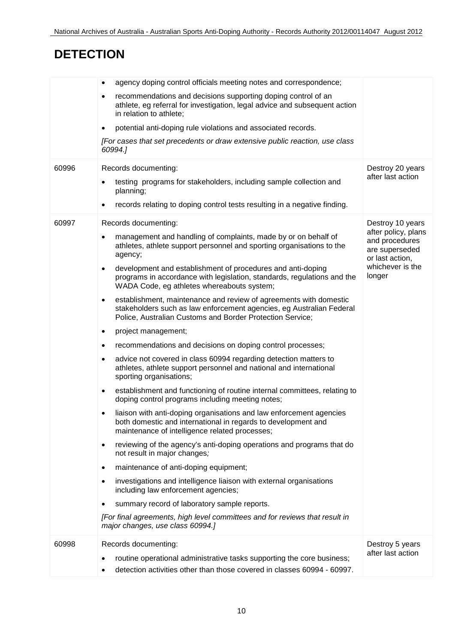# **DETECTION**

|       | agency doping control officials meeting notes and correspondence;<br>$\bullet$                                                                                                                                      |                                                                            |
|-------|---------------------------------------------------------------------------------------------------------------------------------------------------------------------------------------------------------------------|----------------------------------------------------------------------------|
|       | recommendations and decisions supporting doping control of an<br>$\bullet$<br>athlete, eg referral for investigation, legal advice and subsequent action<br>in relation to athlete;                                 |                                                                            |
|       | potential anti-doping rule violations and associated records.<br>$\bullet$                                                                                                                                          |                                                                            |
|       | [For cases that set precedents or draw extensive public reaction, use class<br>60994.]                                                                                                                              |                                                                            |
| 60996 | Records documenting:                                                                                                                                                                                                | Destroy 20 years                                                           |
|       | testing programs for stakeholders, including sample collection and<br>$\bullet$<br>planning;                                                                                                                        | after last action                                                          |
|       | records relating to doping control tests resulting in a negative finding.<br>$\bullet$                                                                                                                              |                                                                            |
| 60997 | Records documenting:                                                                                                                                                                                                | Destroy 10 years                                                           |
|       | management and handling of complaints, made by or on behalf of<br>$\bullet$<br>athletes, athlete support personnel and sporting organisations to the<br>agency;                                                     | after policy, plans<br>and procedures<br>are superseded<br>or last action, |
|       | development and establishment of procedures and anti-doping<br>$\bullet$<br>programs in accordance with legislation, standards, regulations and the<br>WADA Code, eg athletes whereabouts system;                   | whichever is the<br>longer                                                 |
|       | establishment, maintenance and review of agreements with domestic<br>$\bullet$<br>stakeholders such as law enforcement agencies, eg Australian Federal<br>Police, Australian Customs and Border Protection Service; |                                                                            |
|       | project management;<br>$\bullet$                                                                                                                                                                                    |                                                                            |
|       | recommendations and decisions on doping control processes;<br>$\bullet$                                                                                                                                             |                                                                            |
|       | advice not covered in class 60994 regarding detection matters to<br>$\bullet$<br>athletes, athlete support personnel and national and international<br>sporting organisations;                                      |                                                                            |
|       | establishment and functioning of routine internal committees, relating to<br>$\bullet$<br>doping control programs including meeting notes;                                                                          |                                                                            |
|       | liaison with anti-doping organisations and law enforcement agencies<br>$\bullet$<br>both domestic and international in regards to development and<br>maintenance of intelligence related processes;                 |                                                                            |
|       | reviewing of the agency's anti-doping operations and programs that do<br>$\bullet$<br>not result in major changes;                                                                                                  |                                                                            |
|       | maintenance of anti-doping equipment;<br>$\bullet$                                                                                                                                                                  |                                                                            |
|       | investigations and intelligence liaison with external organisations<br>$\bullet$<br>including law enforcement agencies;                                                                                             |                                                                            |
|       | summary record of laboratory sample reports.<br>$\bullet$                                                                                                                                                           |                                                                            |
|       | [For final agreements, high level committees and for reviews that result in<br>major changes, use class 60994.]                                                                                                     |                                                                            |
| 60998 | Records documenting:                                                                                                                                                                                                | Destroy 5 years                                                            |
|       | routine operational administrative tasks supporting the core business;<br>$\bullet$<br>detection activities other than those covered in classes 60994 - 60997.<br>$\bullet$                                         | after last action                                                          |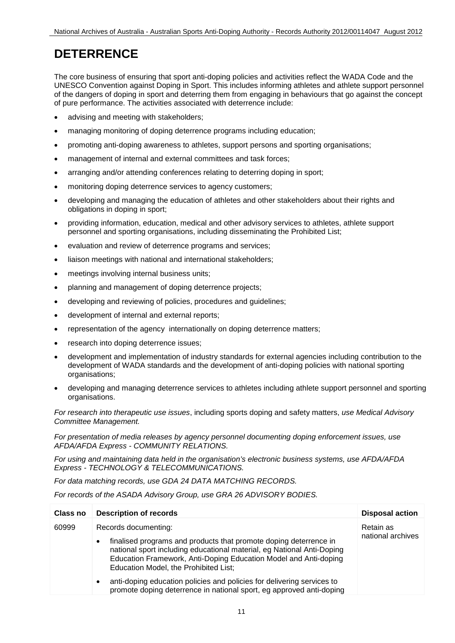## **DETERRENCE**

The core business of ensuring that sport anti-doping policies and activities reflect the WADA Code and the UNESCO Convention against Doping in Sport. This includes informing athletes and athlete support personnel of the dangers of doping in sport and deterring them from engaging in behaviours that go against the concept of pure performance. The activities associated with deterrence include:

- advising and meeting with stakeholders;
- managing monitoring of doping deterrence programs including education;
- promoting anti-doping awareness to athletes, support persons and sporting organisations;
- management of internal and external committees and task forces;
- arranging and/or attending conferences relating to deterring doping in sport;
- monitoring doping deterrence services to agency customers;
- developing and managing the education of athletes and other stakeholders about their rights and obligations in doping in sport;
- providing information, education, medical and other advisory services to athletes, athlete support personnel and sporting organisations, including disseminating the Prohibited List;
- evaluation and review of deterrence programs and services;
- liaison meetings with national and international stakeholders;
- meetings involving internal business units;
- planning and management of doping deterrence projects;
- developing and reviewing of policies, procedures and guidelines;
- development of internal and external reports;
- representation of the agency internationally on doping deterrence matters;
- research into doping deterrence issues;
- development and implementation of industry standards for external agencies including contribution to the development of WADA standards and the development of anti-doping policies with national sporting organisations;
- developing and managing deterrence services to athletes including athlete support personnel and sporting organisations.

*For research into therapeutic use issues*, including sports doping and safety matters, *use Medical Advisory Committee Management.*

*For presentation of media releases by agency personnel documenting doping enforcement issues, use AFDA/AFDA Express - COMMUNITY RELATIONS.*

*For using and maintaining data held in the organisation's electronic business systems, use AFDA/AFDA Express - TECHNOLOGY & TELECOMMUNICATIONS.*

*For data matching records, use GDA 24 DATA MATCHING RECORDS.*

*For records of the ASADA Advisory Group, use GRA 26 ADVISORY BODIES.*

| Class no | <b>Description of records</b>                                                                                                                                                                                                                                                         | <b>Disposal action</b>         |
|----------|---------------------------------------------------------------------------------------------------------------------------------------------------------------------------------------------------------------------------------------------------------------------------------------|--------------------------------|
| 60999    | Records documenting:<br>finalised programs and products that promote doping deterrence in<br>٠<br>national sport including educational material, eg National Anti-Doping<br>Education Framework, Anti-Doping Education Model and Anti-doping<br>Education Model, the Prohibited List; | Retain as<br>national archives |
|          | anti-doping education policies and policies for delivering services to<br>٠<br>promote doping deterrence in national sport, eg approved anti-doping                                                                                                                                   |                                |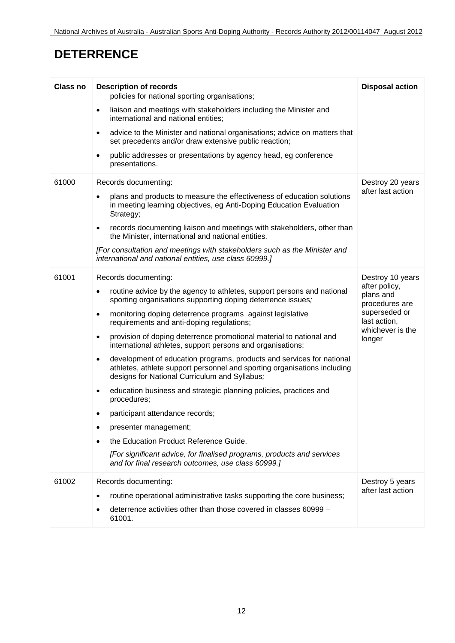# **DETERRENCE**

| <b>Class no</b> | <b>Description of records</b>                                                                                                                                                                                   | <b>Disposal action</b>                                                                                      |
|-----------------|-----------------------------------------------------------------------------------------------------------------------------------------------------------------------------------------------------------------|-------------------------------------------------------------------------------------------------------------|
|                 | policies for national sporting organisations;                                                                                                                                                                   |                                                                                                             |
|                 | liaison and meetings with stakeholders including the Minister and<br>$\bullet$<br>international and national entities;                                                                                          |                                                                                                             |
|                 | advice to the Minister and national organisations; advice on matters that<br>$\bullet$<br>set precedents and/or draw extensive public reaction;                                                                 |                                                                                                             |
|                 | public addresses or presentations by agency head, eg conference<br>$\bullet$<br>presentations.                                                                                                                  |                                                                                                             |
| 61000           | Records documenting:                                                                                                                                                                                            | Destroy 20 years                                                                                            |
|                 | plans and products to measure the effectiveness of education solutions<br>in meeting learning objectives, eg Anti-Doping Education Evaluation<br>Strategy;                                                      | after last action                                                                                           |
|                 | records documenting liaison and meetings with stakeholders, other than<br>$\bullet$<br>the Minister, international and national entities.                                                                       |                                                                                                             |
|                 | [For consultation and meetings with stakeholders such as the Minister and<br>international and national entities, use class 60999.]                                                                             |                                                                                                             |
| 61001           | Records documenting:                                                                                                                                                                                            | Destroy 10 years                                                                                            |
|                 | routine advice by the agency to athletes, support persons and national<br>$\bullet$<br>sporting organisations supporting doping deterrence issues;                                                              | after policy,<br>plans and<br>procedures are<br>superseded or<br>last action,<br>whichever is the<br>longer |
|                 | monitoring doping deterrence programs against legislative<br>$\bullet$<br>requirements and anti-doping regulations;                                                                                             |                                                                                                             |
|                 | provision of doping deterrence promotional material to national and<br>$\bullet$<br>international athletes, support persons and organisations;                                                                  |                                                                                                             |
|                 | development of education programs, products and services for national<br>$\bullet$<br>athletes, athlete support personnel and sporting organisations including<br>designs for National Curriculum and Syllabus; |                                                                                                             |
|                 | education business and strategic planning policies, practices and<br>٠<br>procedures;                                                                                                                           |                                                                                                             |
|                 | participant attendance records;<br>٠                                                                                                                                                                            |                                                                                                             |
|                 | presenter management;                                                                                                                                                                                           |                                                                                                             |
|                 | the Education Product Reference Guide.                                                                                                                                                                          |                                                                                                             |
|                 | [For significant advice, for finalised programs, products and services<br>and for final research outcomes, use class 60999.]                                                                                    |                                                                                                             |
| 61002           | Records documenting:                                                                                                                                                                                            | Destroy 5 years                                                                                             |
|                 | routine operational administrative tasks supporting the core business;                                                                                                                                          | after last action                                                                                           |
|                 | deterrence activities other than those covered in classes 60999 -<br>61001.                                                                                                                                     |                                                                                                             |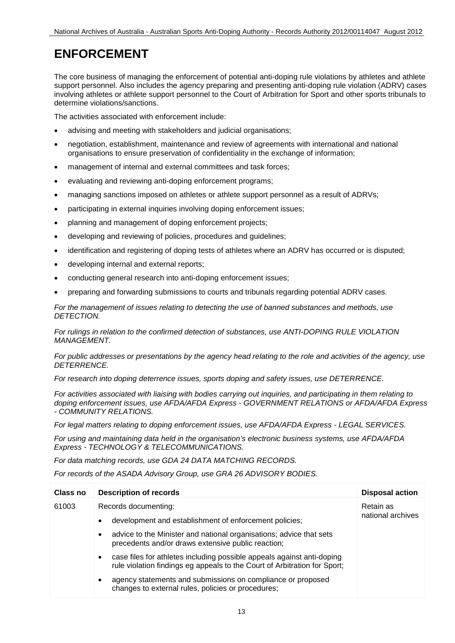# **ENFORCEMENT**

The core business of managing the enforcement of potential anti-doping rule violations by athletes and athlete support personnel. Also includes the agency preparing and presenting anti-doping rule violation (ADRV) cases involving athletes or athlete support personnel to the Court of Arbitration for Sport and other sports tribunals to determine violations/sanctions.

The activities associated with enforcement include:

- advising and meeting with stakeholders and judicial organisations:
- negotiation, establishment, maintenance and review of agreements with international and national organisations to ensure preservation of confidentiality in the exchange of information;
- management of internal and external committees and task forces;
- evaluating and reviewing anti-doping enforcement programs;
- managing sanctions imposed on athletes or athlete support personnel as a result of ADRVs;
- participating in external inquiries involving doping enforcement issues;
- planning and management of doping enforcement projects;
- developing and reviewing of policies, procedures and guidelines;
- identification and registering of doping tests of athletes where an ADRV has occurred or is disputed;
- developing internal and external reports;
- conducting general research into anti-doping enforcement issues;
- preparing and forwarding submissions to courts and tribunals regarding potential ADRV cases.

*For the management of issues relating to detecting the use of banned substances and methods, use DETECTION.*

*For rulings in relation to the confirmed detection of substances, use ANTI-DOPING RULE VIOLATION MANAGEMENT.*

#### *For public addresses or presentations by the agency head relating to the role and activities of the agency, use DETERRENCE.*

*For research into doping deterrence issues, sports doping and safety issues, use DETERRENCE.*

*For activities associated with liaising with bodies carrying out inquiries, and participating in them relating to doping enforcement issues, use AFDA/AFDA Express - GOVERNMENT RELATIONS or AFDA/AFDA Express - COMMUNITY RELATIONS.*

*For legal matters relating to doping enforcement issues, use AFDA/AFDA Express - LEGAL SERVICES.*

*For using and maintaining data held in the organisation's electronic business systems, use AFDA/AFDA Express - TECHNOLOGY & TELECOMMUNICATIONS.*

*For data matching records, use GDA 24 DATA MATCHING RECORDS.*

*For records of the ASADA Advisory Group, use GRA 26 ADVISORY BODIES.*

| Class no | <b>Description of records</b>                                                                                                                            | <b>Disposal action</b> |
|----------|----------------------------------------------------------------------------------------------------------------------------------------------------------|------------------------|
| 61003    | Records documenting:                                                                                                                                     | Retain as              |
|          | development and establishment of enforcement policies;<br>$\bullet$                                                                                      | national archives      |
|          | advice to the Minister and national organisations; advice that sets<br>٠<br>precedents and/or draws extensive public reaction;                           |                        |
|          | case files for athletes including possible appeals against anti-doping<br>٠<br>rule violation findings eg appeals to the Court of Arbitration for Sport; |                        |
|          | agency statements and submissions on compliance or proposed<br>$\bullet$<br>changes to external rules, policies or procedures;                           |                        |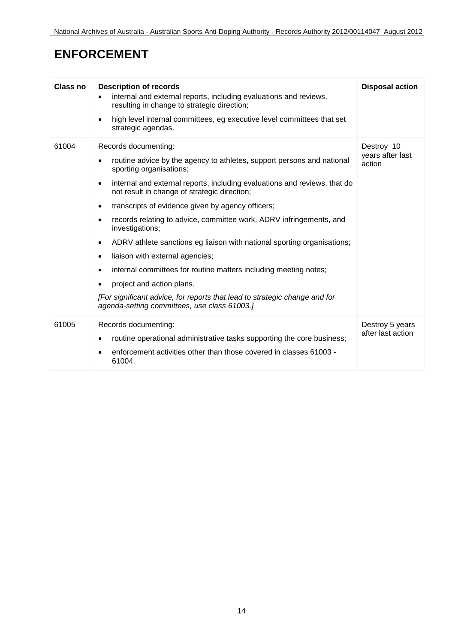# **ENFORCEMENT**

| Class no | <b>Description of records</b>                                                                                                                                                                                                                                                                                                                                                                                                                                                                                                                                                                                                                                              | <b>Disposal action</b>                   |
|----------|----------------------------------------------------------------------------------------------------------------------------------------------------------------------------------------------------------------------------------------------------------------------------------------------------------------------------------------------------------------------------------------------------------------------------------------------------------------------------------------------------------------------------------------------------------------------------------------------------------------------------------------------------------------------------|------------------------------------------|
|          | internal and external reports, including evaluations and reviews,<br>$\bullet$<br>resulting in change to strategic direction;                                                                                                                                                                                                                                                                                                                                                                                                                                                                                                                                              |                                          |
|          | high level internal committees, eg executive level committees that set<br>$\bullet$<br>strategic agendas.                                                                                                                                                                                                                                                                                                                                                                                                                                                                                                                                                                  |                                          |
| 61004    | Records documenting:<br>routine advice by the agency to athletes, support persons and national<br>٠<br>sporting organisations;<br>internal and external reports, including evaluations and reviews, that do<br>$\bullet$<br>not result in change of strategic direction;<br>transcripts of evidence given by agency officers;<br>$\bullet$<br>records relating to advice, committee work, ADRV infringements, and<br>investigations;<br>ADRV athlete sanctions eg liaison with national sporting organisations;<br>٠<br>liaison with external agencies;<br>$\bullet$<br>internal committees for routine matters including meeting notes;<br>project and action plans.<br>٠ | Destroy 10<br>years after last<br>action |
|          | [For significant advice, for reports that lead to strategic change and for<br>agenda-setting committees, use class 61003.]                                                                                                                                                                                                                                                                                                                                                                                                                                                                                                                                                 |                                          |
| 61005    | Records documenting:<br>routine operational administrative tasks supporting the core business;<br>٠<br>enforcement activities other than those covered in classes 61003 -<br>61004.                                                                                                                                                                                                                                                                                                                                                                                                                                                                                        | Destroy 5 years<br>after last action     |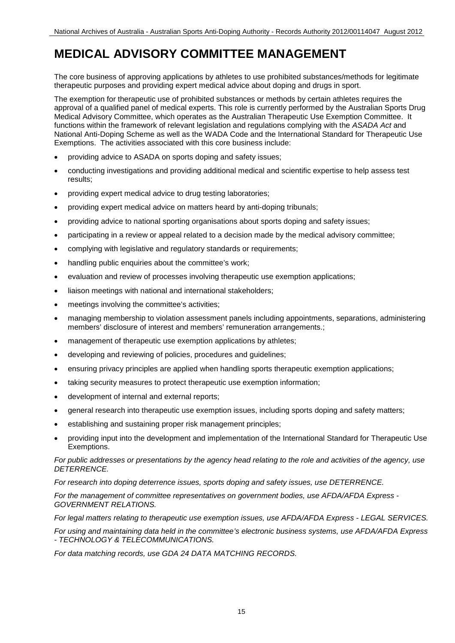#### **MEDICAL ADVISORY COMMITTEE MANAGEMENT**

The core business of approving applications by athletes to use prohibited substances/methods for legitimate therapeutic purposes and providing expert medical advice about doping and drugs in sport.

The exemption for therapeutic use of prohibited substances or methods by certain athletes requires the approval of a qualified panel of medical experts. This role is currently performed by the Australian Sports Drug Medical Advisory Committee, which operates as the Australian Therapeutic Use Exemption Committee. It functions within the framework of relevant legislation and regulations complying with the *ASADA Act* and National Anti-Doping Scheme as well as the WADA Code and the International Standard for Therapeutic Use Exemptions. The activities associated with this core business include:

- providing advice to ASADA on sports doping and safety issues;
- conducting investigations and providing additional medical and scientific expertise to help assess test results;
- providing expert medical advice to drug testing laboratories;
- providing expert medical advice on matters heard by anti-doping tribunals;
- providing advice to national sporting organisations about sports doping and safety issues:
- participating in a review or appeal related to a decision made by the medical advisory committee;
- complying with legislative and regulatory standards or requirements;
- handling public enquiries about the committee's work;
- evaluation and review of processes involving therapeutic use exemption applications;
- liaison meetings with national and international stakeholders;
- meetings involving the committee's activities;
- managing membership to violation assessment panels including appointments, separations, administering members' disclosure of interest and members' remuneration arrangements.;
- management of therapeutic use exemption applications by athletes;
- developing and reviewing of policies, procedures and guidelines;
- ensuring privacy principles are applied when handling sports therapeutic exemption applications;
- taking security measures to protect therapeutic use exemption information;
- development of internal and external reports;
- general research into therapeutic use exemption issues, including sports doping and safety matters;
- establishing and sustaining proper risk management principles;
- providing input into the development and implementation of the International Standard for Therapeutic Use Exemptions.

*For public addresses or presentations by the agency head relating to the role and activities of the agency, use DETERRENCE.*

*For research into doping deterrence issues, sports doping and safety issues, use DETERRENCE.*

*For the management of committee representatives on government bodies, use AFDA/AFDA Express - GOVERNMENT RELATIONS.*

*For legal matters relating to therapeutic use exemption issues, use AFDA/AFDA Express - LEGAL SERVICES.*

*For using and maintaining data held in the committee's electronic business systems, use AFDA/AFDA Express - TECHNOLOGY & TELECOMMUNICATIONS.*

*For data matching records, use GDA 24 DATA MATCHING RECORDS.*